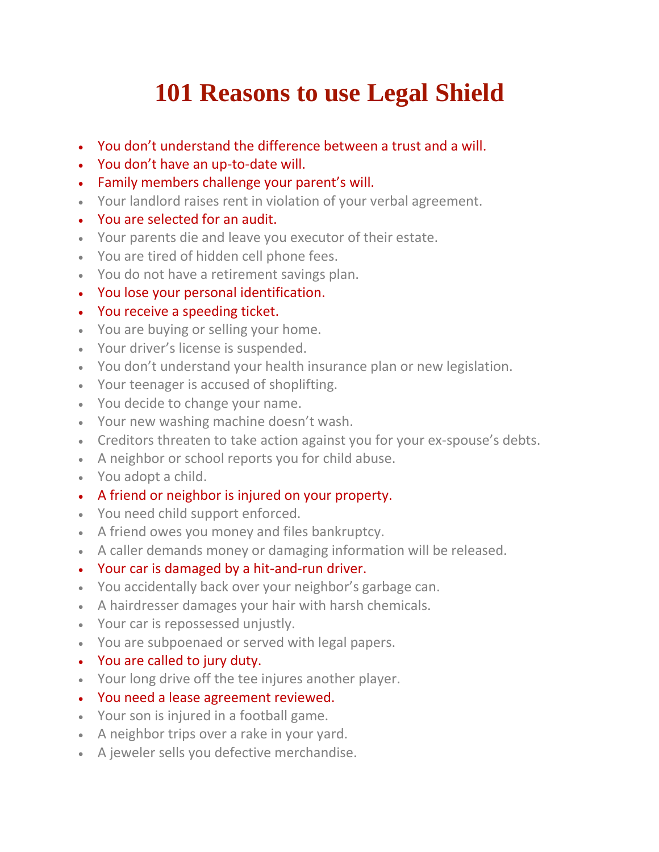## **101 Reasons to use Legal Shield**

- You don't understand the difference between a trust and a will.
- You don't have an up-to-date will.
- Family members challenge your parent's will.
- Your landlord raises rent in violation of your verbal agreement.
- You are selected for an audit.
- Your parents die and leave you executor of their estate.
- You are tired of hidden cell phone fees.
- You do not have a retirement savings plan.
- You lose your personal identification.
- You receive a speeding ticket.
- You are buying or selling your home.
- Your driver's license is suspended.
- You don't understand your health insurance plan or new legislation.
- Your teenager is accused of shoplifting.
- You decide to change your name.
- Your new washing machine doesn't wash.
- Creditors threaten to take action against you for your ex-spouse's debts.
- A neighbor or school reports you for child abuse.
- You adopt a child.
- A friend or neighbor is injured on your property.
- You need child support enforced.
- A friend owes you money and files bankruptcy.
- A caller demands money or damaging information will be released.
- Your car is damaged by a hit-and-run driver.
- You accidentally back over your neighbor's garbage can.
- A hairdresser damages your hair with harsh chemicals.
- Your car is repossessed unjustly.
- You are subpoenaed or served with legal papers.
- You are called to jury duty.
- Your long drive off the tee injures another player.
- You need a lease agreement reviewed.
- Your son is injured in a football game.
- A neighbor trips over a rake in your yard.
- A jeweler sells you defective merchandise.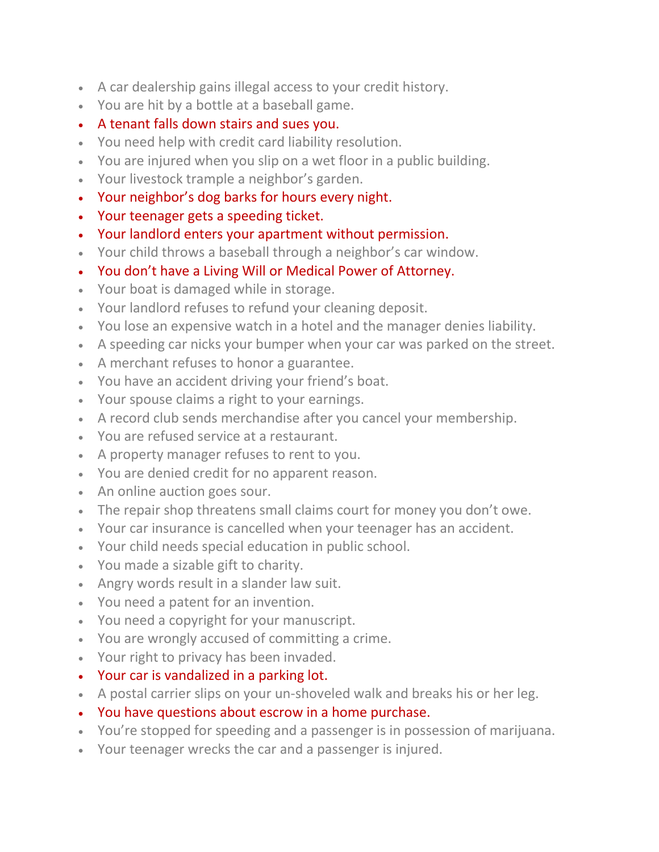- A car dealership gains illegal access to your credit history.
- You are hit by a bottle at a baseball game.
- A tenant falls down stairs and sues you.
- You need help with credit card liability resolution.
- You are injured when you slip on a wet floor in a public building.
- Your livestock trample a neighbor's garden.
- Your neighbor's dog barks for hours every night.
- Your teenager gets a speeding ticket.
- Your landlord enters your apartment without permission.
- Your child throws a baseball through a neighbor's car window.
- You don't have a Living Will or Medical Power of Attorney.
- Your boat is damaged while in storage.
- Your landlord refuses to refund your cleaning deposit.
- You lose an expensive watch in a hotel and the manager denies liability.
- A speeding car nicks your bumper when your car was parked on the street.
- A merchant refuses to honor a guarantee.
- You have an accident driving your friend's boat.
- Your spouse claims a right to your earnings.
- A record club sends merchandise after you cancel your membership.
- You are refused service at a restaurant.
- A property manager refuses to rent to you.
- You are denied credit for no apparent reason.
- An online auction goes sour.
- The repair shop threatens small claims court for money you don't owe.
- Your car insurance is cancelled when your teenager has an accident.
- Your child needs special education in public school.
- You made a sizable gift to charity.
- Angry words result in a slander law suit.
- You need a patent for an invention.
- You need a copyright for your manuscript.
- You are wrongly accused of committing a crime.
- Your right to privacy has been invaded.
- Your car is vandalized in a parking lot.
- A postal carrier slips on your un-shoveled walk and breaks his or her leg.
- You have questions about escrow in a home purchase.
- You're stopped for speeding and a passenger is in possession of marijuana.
- Your teenager wrecks the car and a passenger is injured.